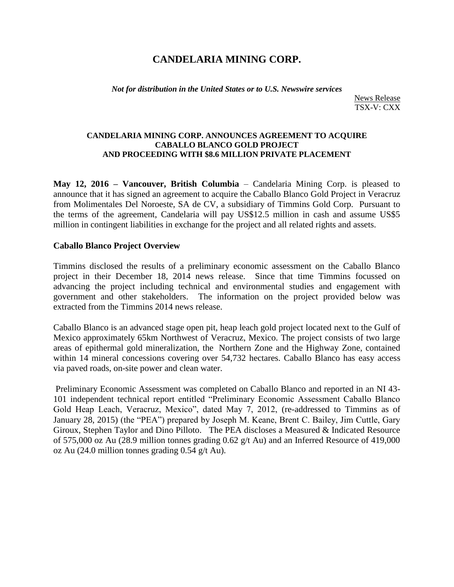# **CANDELARIA MINING CORP.**

*Not for distribution in the United States or to U.S. Newswire services*

News Release TSX-V: CXX

### **CANDELARIA MINING CORP. ANNOUNCES AGREEMENT TO ACQUIRE CABALLO BLANCO GOLD PROJECT AND PROCEEDING WITH \$8.6 MILLION PRIVATE PLACEMENT**

**May 12, 2016 – Vancouver, British Columbia** – Candelaria Mining Corp. is pleased to announce that it has signed an agreement to acquire the Caballo Blanco Gold Project in Veracruz from Molimentales Del Noroeste, SA de CV, a subsidiary of Timmins Gold Corp. Pursuant to the terms of the agreement, Candelaria will pay US\$12.5 million in cash and assume US\$5 million in contingent liabilities in exchange for the project and all related rights and assets.

### **Caballo Blanco Project Overview**

Timmins disclosed the results of a preliminary economic assessment on the Caballo Blanco project in their December 18, 2014 news release. Since that time Timmins focussed on advancing the project including technical and environmental studies and engagement with government and other stakeholders. The information on the project provided below was extracted from the Timmins 2014 news release.

Caballo Blanco is an advanced stage open pit, heap leach gold project located next to the Gulf of Mexico approximately 65km Northwest of Veracruz, Mexico. The project consists of two large areas of epithermal gold mineralization, the Northern Zone and the Highway Zone, contained within 14 mineral concessions covering over 54,732 hectares. Caballo Blanco has easy access via paved roads, on-site power and clean water.

Preliminary Economic Assessment was completed on Caballo Blanco and reported in an NI 43- 101 independent technical report entitled "Preliminary Economic Assessment Caballo Blanco Gold Heap Leach, Veracruz, Mexico", dated May 7, 2012, (re-addressed to Timmins as of January 28, 2015) (the "PEA") prepared by Joseph M. Keane, Brent C. Bailey, Jim Cuttle, Gary Giroux, Stephen Taylor and Dino Pilloto. The PEA discloses a Measured & Indicated Resource of 575,000 oz Au (28.9 million tonnes grading 0.62 g/t Au) and an Inferred Resource of 419,000 oz Au (24.0 million tonnes grading 0.54 g/t Au).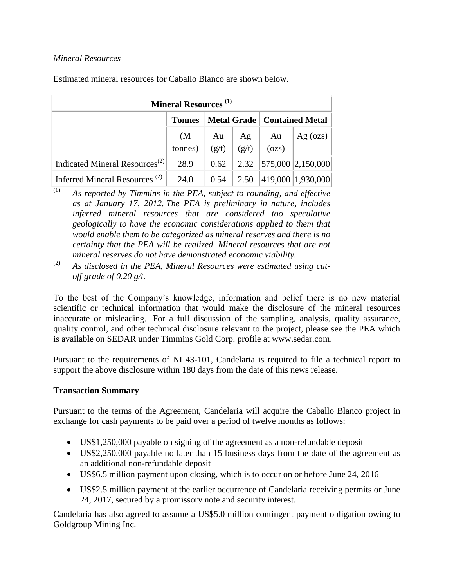## *Mineral Resources*

Estimated mineral resources for Caballo Blanco are shown below.

| <b>Mineral Resources</b> <sup>(1)</sup>    |                   |       |       |                                      |                            |
|--------------------------------------------|-------------------|-------|-------|--------------------------------------|----------------------------|
|                                            | <b>Tonnes</b>     |       |       | <b>Metal Grade   Contained Metal</b> |                            |
|                                            | (M <sup>2</sup> ) | Au    | Ag    | Au                                   | Ag $(ozs)$                 |
|                                            | tonnes)           | (g/t) | (g/t) | (ozs)                                |                            |
| Indicated Mineral Resources <sup>(2)</sup> | 28.9              | 0.62  |       |                                      | 2.32 $ 575,000 2,150,000 $ |
| Inferred Mineral Resources <sup>(2)</sup>  | 24.0              | 0.54  | 2.50  |                                      | 419,000 1,930,000          |

- $\overline{(1)}$  *As reported by Timmins in the PEA, subject to rounding, and effective as at January 17, 2012. The PEA is preliminary in nature, includes inferred mineral resources that are considered too speculative geologically to have the economic considerations applied to them that would enable them to be categorized as mineral reserves and there is no certainty that the PEA will be realized. Mineral resources that are not mineral reserves do not have demonstrated economic viability.*
- (2) *As disclosed in the PEA, Mineral Resources were estimated using cutoff grade of 0.20 g/t.*

To the best of the Company's knowledge, information and belief there is no new material scientific or technical information that would make the disclosure of the mineral resources inaccurate or misleading. For a full discussion of the sampling, analysis, quality assurance, quality control, and other technical disclosure relevant to the project, please see the PEA which is available on SEDAR under Timmins Gold Corp. profile at [www.sedar.com.](http://www.sedar.com/)

Pursuant to the requirements of NI 43-101, Candelaria is required to file a technical report to support the above disclosure within 180 days from the date of this news release.

### **Transaction Summary**

Pursuant to the terms of the Agreement, Candelaria will acquire the Caballo Blanco project in exchange for cash payments to be paid over a period of twelve months as follows:

- US\$1,250,000 payable on signing of the agreement as a non-refundable deposit
- US\$2,250,000 payable no later than 15 business days from the date of the agreement as an additional non-refundable deposit
- US\$6.5 million payment upon closing, which is to occur on or before June 24, 2016
- US\$2.5 million payment at the earlier occurrence of Candelaria receiving permits or June 24, 2017, secured by a promissory note and security interest.

Candelaria has also agreed to assume a US\$5.0 million contingent payment obligation owing to Goldgroup Mining Inc.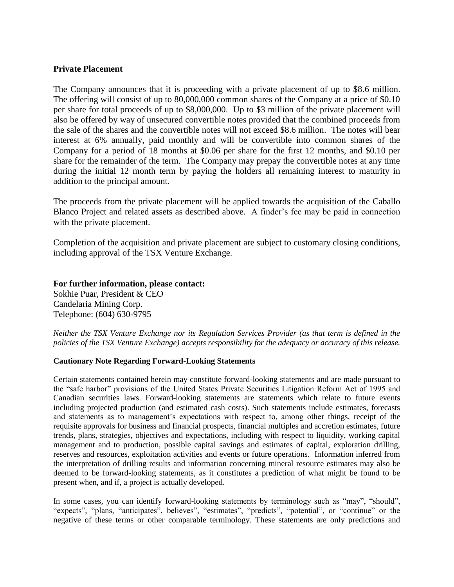### **Private Placement**

The Company announces that it is proceeding with a private placement of up to \$8.6 million. The offering will consist of up to 80,000,000 common shares of the Company at a price of \$0.10 per share for total proceeds of up to \$8,000,000. Up to \$3 million of the private placement will also be offered by way of unsecured convertible notes provided that the combined proceeds from the sale of the shares and the convertible notes will not exceed \$8.6 million. The notes will bear interest at 6% annually, paid monthly and will be convertible into common shares of the Company for a period of 18 months at \$0.06 per share for the first 12 months, and \$0.10 per share for the remainder of the term. The Company may prepay the convertible notes at any time during the initial 12 month term by paying the holders all remaining interest to maturity in addition to the principal amount.

The proceeds from the private placement will be applied towards the acquisition of the Caballo Blanco Project and related assets as described above. A finder's fee may be paid in connection with the private placement.

Completion of the acquisition and private placement are subject to customary closing conditions, including approval of the TSX Venture Exchange.

**For further information, please contact:**  Sokhie Puar, President & CEO Candelaria Mining Corp. Telephone: (604) 630-9795

*Neither the TSX Venture Exchange nor its Regulation Services Provider (as that term is defined in the policies of the TSX Venture Exchange) accepts responsibility for the adequacy or accuracy of this release.* 

#### **Cautionary Note Regarding Forward-Looking Statements**

Certain statements contained herein may constitute forward-looking statements and are made pursuant to the "safe harbor" provisions of the United States Private Securities Litigation Reform Act of 1995 and Canadian securities laws. Forward-looking statements are statements which relate to future events including projected production (and estimated cash costs). Such statements include estimates, forecasts and statements as to management's expectations with respect to, among other things, receipt of the requisite approvals for business and financial prospects, financial multiples and accretion estimates, future trends, plans, strategies, objectives and expectations, including with respect to liquidity, working capital management and to production, possible capital savings and estimates of capital, exploration drilling, reserves and resources, exploitation activities and events or future operations. Information inferred from the interpretation of drilling results and information concerning mineral resource estimates may also be deemed to be forward-looking statements, as it constitutes a prediction of what might be found to be present when, and if, a project is actually developed.

In some cases, you can identify forward-looking statements by terminology such as "may", "should", "expects", "plans, "anticipates", believes", "estimates", "predicts", "potential", or "continue" or the negative of these terms or other comparable terminology. These statements are only predictions and